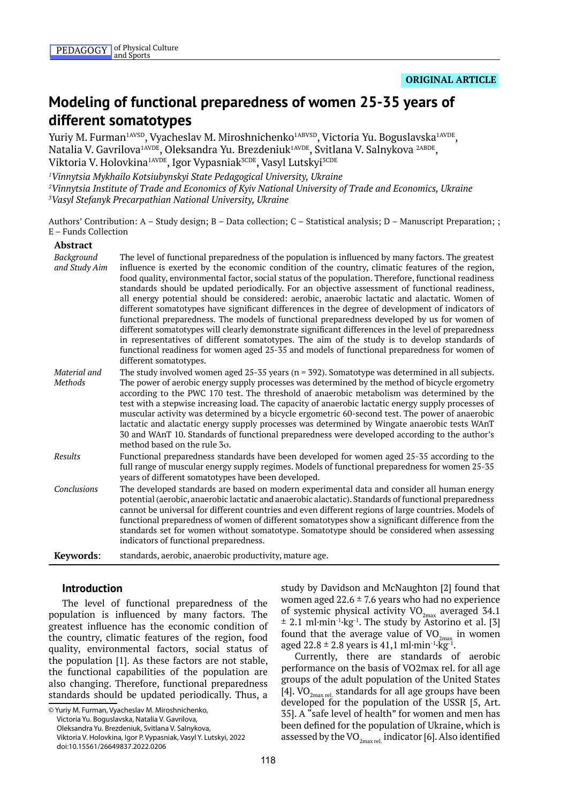# **Modeling of functional preparedness of women 25-35 years of different somatotypes**

Yuriy M. Furman<sup>1AVSD</sup>, Vyacheslav M. Miroshnichenko<sup>1ABVSD</sup>, Victoria Yu. Boguslavska<sup>1AVDE</sup>, Natalia V. Gavrilova<sup>1AVDE</sup>, Oleksandra Yu. Brezdeniuk<sup>1AVDE</sup>, Svitlana V. Salnykova <sup>2ABDE</sup>, Viktoria V. Holovkina<sup>1AVDE</sup>, Igor Vypasniak<sup>3CDE</sup>, Vasyl Lutskyi<sup>3CDE</sup>

*1 Vinnytsia Mykhailo Kotsiubynskyi State Pedagogical University, Ukraine 2 Vinnytsia Institute of Trade and Economics of Kyiv National University of Trade and Economics, Ukraine 3 Vasyl Stefanyk Precarpathian National University, Ukraine*

Authors' Contribution: A – Study design; B – Data collection; C – Statistical analysis; D – Manuscript Preparation; ; E – Funds Collection

#### **Abstract**

| Background<br>and Study Aim | The level of functional preparedness of the population is influenced by many factors. The greatest<br>influence is exerted by the economic condition of the country, climatic features of the region,<br>food quality, environmental factor, social status of the population. Therefore, functional readiness<br>standards should be updated periodically. For an objective assessment of functional readiness,<br>all energy potential should be considered: aerobic, anaerobic lactatic and alactatic. Women of<br>different somatotypes have significant differences in the degree of development of indicators of<br>functional preparedness. The models of functional preparedness developed by us for women of<br>different somatotypes will clearly demonstrate significant differences in the level of preparedness<br>in representatives of different somatotypes. The aim of the study is to develop standards of<br>functional readiness for women aged 25-35 and models of functional preparedness for women of<br>different somatotypes. |
|-----------------------------|-------------------------------------------------------------------------------------------------------------------------------------------------------------------------------------------------------------------------------------------------------------------------------------------------------------------------------------------------------------------------------------------------------------------------------------------------------------------------------------------------------------------------------------------------------------------------------------------------------------------------------------------------------------------------------------------------------------------------------------------------------------------------------------------------------------------------------------------------------------------------------------------------------------------------------------------------------------------------------------------------------------------------------------------------------|
| Material and<br>Methods     | The study involved women aged 25-35 years ( $n = 392$ ). Somatotype was determined in all subjects.<br>The power of aerobic energy supply processes was determined by the method of bicycle ergometry<br>according to the PWC 170 test. The threshold of anaerobic metabolism was determined by the<br>test with a stepwise increasing load. The capacity of anaerobic lactatic energy supply processes of<br>muscular activity was determined by a bicycle ergometric 60-second test. The power of anaerobic<br>lactatic and alactatic energy supply processes was determined by Wingate anaerobic tests WAnT<br>30 and WAnT 10. Standards of functional preparedness were developed according to the author's<br>method based on the rule $3\sigma$ .                                                                                                                                                                                                                                                                                               |
| Results                     | Functional preparedness standards have been developed for women aged 25-35 according to the<br>full range of muscular energy supply regimes. Models of functional preparedness for women 25-35<br>years of different somatotypes have been developed.                                                                                                                                                                                                                                                                                                                                                                                                                                                                                                                                                                                                                                                                                                                                                                                                 |
| Conclusions                 | The developed standards are based on modern experimental data and consider all human energy<br>potential (aerobic, anaerobic lactatic and anaerobic alactatic). Standards of functional preparedness<br>cannot be universal for different countries and even different regions of large countries. Models of<br>functional preparedness of women of different somatotypes show a significant difference from the<br>standards set for women without somatotype. Somatotype should be considered when assessing<br>indicators of functional preparedness.                                                                                                                                                                                                                                                                                                                                                                                                                                                                                              |
| Keywords:                   | standards, aerobic, anaerobic productivity, mature age.                                                                                                                                                                                                                                                                                                                                                                                                                                                                                                                                                                                                                                                                                                                                                                                                                                                                                                                                                                                               |

## **Introduction**

The level of functional preparedness of the population is influenced by many factors. The greatest influence has the economic condition of the country, climatic features of the region, food quality, environmental factors, social status of the population [1]. As these factors are not stable, the functional capabilities of the population are also changing. Therefore, functional preparedness standards should be updated periodically. Thus, a

© Yuriy M. Furman, Vyacheslav M. Miroshnichenko, Victoria Yu. Boguslavska, Natalia V. Gavrilova, Oleksandra Yu. Brezdeniuk, Svitlana V. Salnykova, Viktoria V. Holovkina, Igor P. Vypasniak, Vasyl Y. Lutskyi, 2022 doi:10.15561/26649837.2022.0206

study by Davidson and McNaughton [2] found that women aged  $22.6 \pm 7.6$  years who had no experience of systemic physical activity  $VO_{2m}$  averaged 34.1  $\pm$  2.1 ml·min<sup>-1</sup>·kg<sup>-1</sup>. The study by Astorino et al. [3] found that the average value of  $VO_{2max}$  in women aged  $22.8 \pm 2.8$  years is 41,1 ml·min<sup>-1</sup>·kg<sup>-1</sup>.

Currently, there are standards of aerobic performance on the basis of VO2max rel. for all age groups of the adult population of the United States [4].  $\rm VO_{2max}$  standards for all age groups have been developed for the population of the USSR [5, Art. 35]. A "safe level of health" for women and men has been defined for the population of Ukraine, which is assessed by the VO $_{2\text{max rel}}$  indicator [6]. Also identified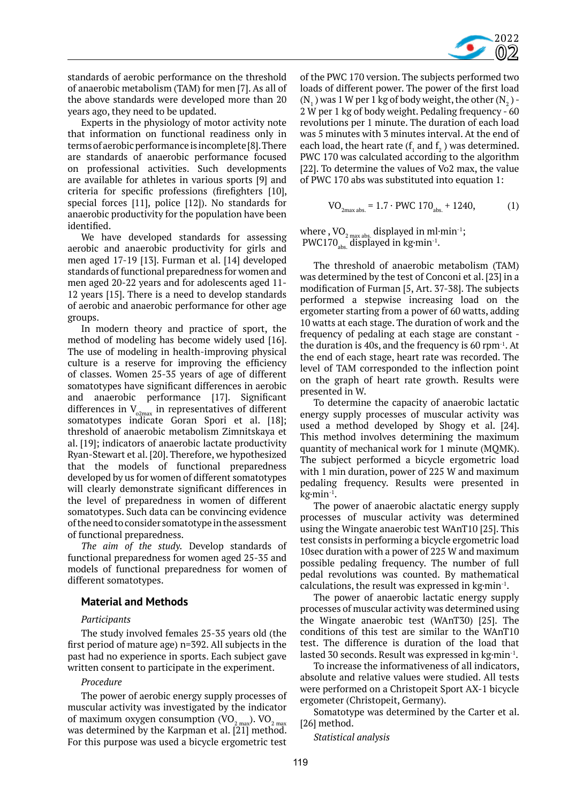

standards of aerobic performance on the threshold of anaerobic metabolism (TAM) for men [7]. As all of the above standards were developed more than 20 years ago, they need to be updated.

Experts in the physiology of motor activity note that information on functional readiness only in terms of aerobic performance is incomplete [8]. There are standards of anaerobic performance focused on professional activities. Such developments are available for athletes in various sports [9] and criteria for specific professions (firefighters [10], special forces [11], police [12]). No standards for anaerobic productivity for the population have been identified.

We have developed standards for assessing aerobic and anaerobic productivity for girls and men aged 17-19 [13]. Furman et al. [14] developed standards of functional preparedness for women and men aged 20-22 years and for adolescents aged 11- 12 years [15]. There is a need to develop standards of aerobic and anaerobic performance for other age groups.

In modern theory and practice of sport, the method of modeling has become widely used [16]. The use of modeling in health-improving physical culture is a reserve for improving the efficiency of classes. Women 25-35 years of age of different somatotypes have significant differences in aerobic and anaerobic performance [17]. Significant differences in  $V_{\text{o2max}}$  in representatives of different somatotypes indicate Goran Spori et al. [18]; threshold of anaerobic metabolism Zimnitskaya et al. [19]; indicators of anaerobic lactate productivity Ryan-Stewart et al. [20]. Therefore, we hypothesized that the models of functional preparedness developed by us for women of different somatotypes will clearly demonstrate significant differences in the level of preparedness in women of different somatotypes. Such data can be convincing evidence of the need to consider somatotype in the assessment of functional preparedness.

*The aim of the study.* Develop standards of functional preparedness for women aged 25-35 and models of functional preparedness for women of different somatotypes.

## **Material and Methods**

## *Participants*

The study involved females 25-35 years old (the first period of mature age) n=392. All subjects in the past had no experience in sports. Each subject gave written consent to participate in the experiment.

## *Procedure*

The power of aerobic energy supply processes of muscular activity was investigated by the indicator of maximum oxygen consumption (VO $_{\rm 2\,max}$ ). VO $_{\rm 2\,max}$ was determined by the Karpman et al. [21] method. For this purpose was used a bicycle ergometric test

of the PWC 170 version. The subjects performed two loads of different power. The power of the first load  $(N_1)$  was 1 W per 1 kg of body weight, the other  $(N_2)$  -2 W per 1 kg of body weight. Pedaling frequency - 60 revolutions per 1 minute. The duration of each load was 5 minutes with 3 minutes interval. At the end of each load, the heart rate  $(f_1$  and  $f_2$ ) was determined. PWC 170 was calculated according to the algorithm [22]. To determine the values of Vo2 max, the value of PWC 170 abs was substituted into equation 1:

$$
VO_{2max abs.} = 1.7 \cdot PWC 170_{abs.} + 1240,
$$
 (1)

where , VO<sub>2 max abs.</sub> displayed in ml∙min<sup>-1</sup>;<br>NUC172 PWC170 $_{\text{abs}}$  displayed in kg·min<sup>-1</sup>.

The threshold of anaerobic metabolism (TAM) was determined by the test of Conconi et al. [23] in a modification of Furman [5, Art. 37-38]. The subjects performed a stepwise increasing load on the ergometer starting from a power of 60 watts, adding 10 watts at each stage. The duration of work and the frequency of pedaling at each stage are constant the duration is 40s, and the frequency is  $60$  rpm $^{-1}$ . At the end of each stage, heart rate was recorded. The level of TAM corresponded to the inflection point on the graph of heart rate growth. Results were presented in W.

To determine the capacity of anaerobic lactatic energy supply processes of muscular activity was used a method developed by Shogy et al. [24]. This method involves determining the maximum quantity of mechanical work for 1 minute (MQMK). The subject performed a bicycle ergometric load with 1 min duration, power of 225 W and maximum pedaling frequency. Results were presented in kg·min-1.

The power of anaerobic alactatic energy supply processes of muscular activity was determined using the Wingate anaerobic test WAnT10 [25]. This test consists in performing a bicycle ergometric load 10sec duration with a power of 225 W and maximum possible pedaling frequency. The number of full pedal revolutions was counted. By mathematical calculations, the result was expressed in kg·min-1.

The power of anaerobic lactatic energy supply processes of muscular activity was determined using the Wingate anaerobic test (WAnT30) [25]. The conditions of this test are similar to the WAnT10 test. The difference is duration of the load that lasted 30 seconds. Result was expressed in kg·min-1.

To increase the informativeness of all indicators, absolute and relative values were studied. All tests were performed on a Christopeit Sport AX-1 bicycle ergometer (Christopeit, Germany).

Somatotype was determined by the Carter et al. [26] method.

*Statistical analysis*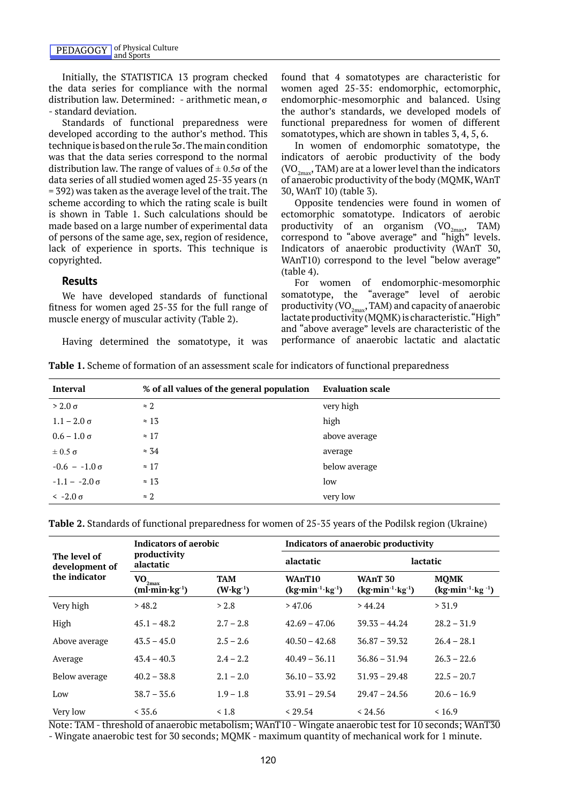Initially, the STATISTICA 13 program checked the data series for compliance with the normal distribution law. Determined: - arithmetic mean, σ - standard deviation.

Standards of functional preparedness were developed according to the author's method. This technique is based on the rule 3σ. The main condition was that the data series correspond to the normal distribution law. The range of values of  $\pm$  0.5 $\sigma$  of the data series of all studied women aged 25-35 years (n = 392) was taken as the average level of the trait. The scheme according to which the rating scale is built is shown in Table 1. Such calculations should be made based on a large number of experimental data of persons of the same age, sex, region of residence, lack of experience in sports. This technique is copyrighted.

#### **Results**

We have developed standards of functional fitness for women aged 25-35 for the full range of muscle energy of muscular activity (Table 2).

Having determined the somatotype, it was

found that 4 somatotypes are characteristic for women aged 25-35: endomorphic, ectomorphic, endomorphic-mesomorphic and balanced. Using the author's standards, we developed models of functional preparedness for women of different somatotypes, which are shown in tables 3, 4, 5, 6.

In women of endomorphic somatotype, the indicators of aerobic productivity of the body  $(VO<sub>2max</sub>, TAM)$  are at a lower level than the indicators of anaerobic productivity of the body (MQMK, WAnT 30, WAnT 10) (table 3).

Opposite tendencies were found in women of ectomorphic somatotype. Indicators of aerobic productivity of an organism  $(VO_{2max}, TAM)$ correspond to "above average" and "high" levels. Indicators of anaerobic productivity (WAnT 30, WAnT10) correspond to the level "below average" (table 4).

For women of endomorphic-mesomorphic somatotype, the "average" level of aerobic productivity (VO $_{2\text{max}}$ , TAM) and capacity of anaerobic lactate productivity (MQMK) is characteristic. "High" and "above average" levels are characteristic of the performance of anaerobic lactatic and alactatic

|  |  |  |  | <b>Table 1.</b> Scheme of formation of an assessment scale for indicators of functional preparedness |
|--|--|--|--|------------------------------------------------------------------------------------------------------|
|  |  |  |  |                                                                                                      |
|  |  |  |  |                                                                                                      |

| <b>Interval</b>      | % of all values of the general population | <b>Evaluation scale</b> |
|----------------------|-------------------------------------------|-------------------------|
| $>$ 2.0 $\sigma$     | $\approx 2$                               | very high               |
| $1.1 - 2.0 \sigma$   | $\approx 13$                              | high                    |
| $0.6 - 1.0 \sigma$   | $\approx 17$                              | above average           |
| $\pm 0.5 \sigma$     | $\approx 34$                              | average                 |
| $-0.6 - 1.0 \sigma$  | $\approx 17$                              | below average           |
| $-1.1 - -2.0 \sigma$ | $\approx 13$                              | low                     |
| $\leq$ -2.0 $\sigma$ | $\approx$ 2                               | very low                |

**Table 2.** Standards of functional preparedness for women of 25-35 years of the Podilsk region (Ukraine)

|                                | <b>Indicators of aerobic</b>                   |                                   | <b>Indicators of anaerobic productivity</b>             |                                                     |                                                  |  |  |
|--------------------------------|------------------------------------------------|-----------------------------------|---------------------------------------------------------|-----------------------------------------------------|--------------------------------------------------|--|--|
| The level of<br>development of | productivity<br>alactatic                      |                                   | alactatic                                               | lactatic                                            |                                                  |  |  |
| the indicator                  | $\mathbf{VO}_{2\text{max}}$<br>$(ml·min·kg-1)$ | TAM<br>$(W \cdot \text{kg}^{-1})$ | WAnT <sub>10</sub><br>$(kg\cdot min^{-1}\cdot kg^{-1})$ | <b>WAnT 30</b><br>$(kg\cdot min^{-1}\cdot kg^{-1})$ | <b>MOMK</b><br>$(kg\cdot min^{-1}\cdot kg^{-1})$ |  |  |
| Very high                      | > 48.2                                         | > 2.8                             | > 47.06                                                 | >44.24                                              | > 31.9                                           |  |  |
| High                           | $45.1 - 48.2$                                  | $2.7 - 2.8$                       | $42.69 - 47.06$                                         | $39.33 - 44.24$                                     | $28.2 - 31.9$                                    |  |  |
| Above average                  | $43.5 - 45.0$                                  | $2.5 - 2.6$                       | $40.50 - 42.68$                                         | $36.87 - 39.32$                                     | $26.4 - 28.1$                                    |  |  |
| Average                        | $43.4 - 40.3$                                  | $2.4 - 2.2$                       | $40.49 - 36.11$                                         | $36.86 - 31.94$                                     | $26.3 - 22.6$                                    |  |  |
| Below average                  | $40.2 - 38.8$                                  | $2.1 - 2.0$                       | $36.10 - 33.92$                                         | $31.93 - 29.48$                                     | $22.5 - 20.7$                                    |  |  |
| Low                            | $38.7 - 35.6$                                  | $1.9 - 1.8$                       | $33.91 - 29.54$                                         | $29.47 - 24.56$                                     | $20.6 - 16.9$                                    |  |  |
| Very low                       | < 35.6                                         | $\leq 1.8$                        | < 29.54                                                 | < 24.56                                             | < 16.9                                           |  |  |

Note: TAM - threshold of anaerobic metabolism; WAnT10 - Wingate anaerobic test for 10 seconds; WAnT30 - Wingate anaerobic test for 30 seconds; MQMK - maximum quantity of mechanical work for 1 minute.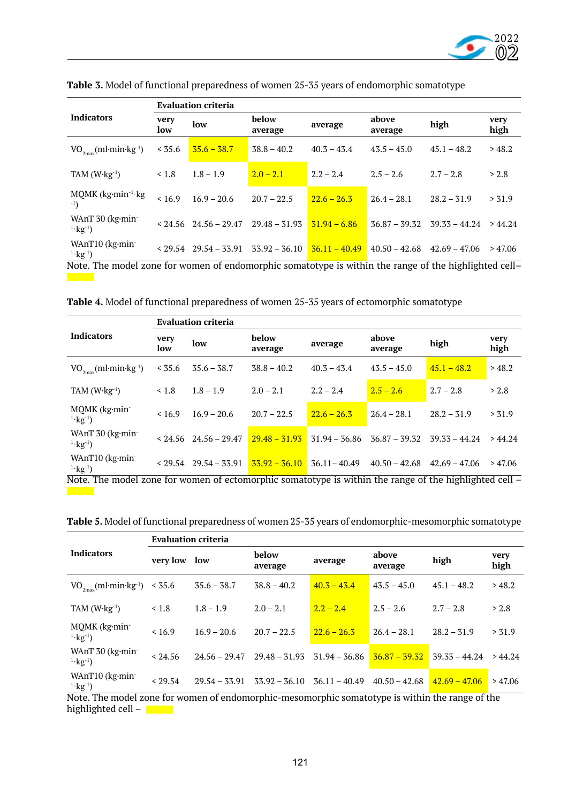

|                                                                                                       | <b>Evaluation criteria</b> |                                       |                  |                 |                  |                 |              |  |  |
|-------------------------------------------------------------------------------------------------------|----------------------------|---------------------------------------|------------------|-----------------|------------------|-----------------|--------------|--|--|
| <b>Indicators</b>                                                                                     | very<br>low                | low                                   | below<br>average | average         | above<br>average | high            | very<br>high |  |  |
| $VO_{2mx}$ (ml·min·kg <sup>-1</sup> )                                                                 | < 35.6                     | $35.6 - 38.7$                         | $38.8 - 40.2$    | $40.3 - 43.4$   | $43.5 - 45.0$    | $45.1 - 48.2$   | >48.2        |  |  |
| TAM $(W \cdot kg^{-1})$                                                                               | < 1.8                      | $1.8 - 1.9$                           | $2.0 - 2.1$      | $2.2 - 2.4$     | $2.5 - 2.6$      | $2.7 - 2.8$     | > 2.8        |  |  |
| MQMK (kg·min <sup>-1</sup> ·kg<br>$-1$ )                                                              | < 16.9                     | $16.9 - 20.6$                         | $20.7 - 22.5$    | $22.6 - 26.3$   | $26.4 - 28.1$    | $28.2 - 31.9$   | > 31.9       |  |  |
| WAnT 30 (kg·min-<br>$1 \cdot \text{kg}^{-1}$ )                                                        |                            | $< 24.56$ 24.56 – 29.47               | $29.48 - 31.93$  | $31.94 - 6.86$  | $36.87 - 39.32$  | $39.33 - 44.24$ | >44.24       |  |  |
| WAnT <sub>10</sub> ( $kg$ ·min<br>$1 \cdot \text{kg}^{-1}$                                            |                            | $<$ 29.54 29.54 - 33.91 33.92 - 36.10 |                  | $36.11 - 40.49$ | $40.50 - 42.68$  | $42.69 - 47.06$ | >47.06       |  |  |
| Note. The model zone for women of endomorphic somatotype is within the range of the highlighted cell- |                            |                                       |                  |                 |                  |                 |              |  |  |

**Table 3.** Model of functional preparedness of women 25-35 years of endomorphic somatotype

**Table 4.** Model of functional preparedness of women 25-35 years of ectomorphic somatotype

|                                                                                                                       | <b>Evaluation criteria</b> |                         |                  |                 |                  |                                                                                                                                                 |              |  |  |
|-----------------------------------------------------------------------------------------------------------------------|----------------------------|-------------------------|------------------|-----------------|------------------|-------------------------------------------------------------------------------------------------------------------------------------------------|--------------|--|--|
| <b>Indicators</b>                                                                                                     | very<br>low                | low                     | below<br>average | average         | above<br>average | high                                                                                                                                            | very<br>high |  |  |
| $VO_{2max}(ml\cdot min\cdot kg^{-1})$                                                                                 | < 35.6                     | $35.6 - 38.7$           | $38.8 - 40.2$    | $40.3 - 43.4$   | $43.5 - 45.0$    | $45.1 - 48.2$                                                                                                                                   | >48.2        |  |  |
| TAM $(W \cdot kg^{-1})$                                                                                               | $\leq 1.8$                 | $1.8 - 1.9$             | $2.0 - 2.1$      | $2.2 - 2.4$     | $2.5 - 2.6$      | $2.7 - 2.8$                                                                                                                                     | > 2.8        |  |  |
| MQMK (kg·min-<br>$1 \cdot \text{kg}^{-1}$                                                                             | < 16.9                     | $16.9 - 20.6$           | $20.7 - 22.5$    | $22.6 - 26.3$   | $26.4 - 28.1$    | $28.2 - 31.9$                                                                                                                                   | > 31.9       |  |  |
| WAnT $30$ (kg $\cdot$ min $\cdot$<br>$^{1.}kg^{-1}$ )                                                                 |                            | $< 24.56$ 24.56 - 29.47 | $29.48 - 31.93$  | $31.94 - 36.86$ | $36.87 - 39.32$  | $39.33 - 44.24$                                                                                                                                 | >44.24       |  |  |
| WAnT <sub>10</sub> ( $kg$ ·min<br>$1 \cdot \text{kg}^{-1}$<br>$M_{\odot}$ + $\sim$ $m_{\odot}$ + $\sim$ $\sim$ $-1.1$ |                            | $<$ 29.54 29.54 – 33.91 | $33.92 - 36.10$  | $36.11 - 40.49$ | $40.50 - 42.68$  | $42.69 - 47.06$<br>. Considering the continuous field of the constant $\mathcal{L}_1$ , and the constant of the LOMC local contract $1$ and $1$ | >47.06       |  |  |

Note. The model zone for women of ectomorphic somatotype is within the range of the highlighted cell –  $\mathcal{L}(\mathcal{A})$ 

| <b>Table 5.</b> Model of functional preparedness of women 25-35 years of endomorphic-mesomorphic somatotype |  |  |
|-------------------------------------------------------------------------------------------------------------|--|--|
|                                                                                                             |  |  |

|                                                                                          | <b>Evaluation criteria</b> |                                   |                                             |                                             |                                               |                                 |              |  |  |
|------------------------------------------------------------------------------------------|----------------------------|-----------------------------------|---------------------------------------------|---------------------------------------------|-----------------------------------------------|---------------------------------|--------------|--|--|
| <b>Indicators</b>                                                                        | very low                   | below<br>low<br>average           |                                             | average                                     | above<br>average                              | high                            | very<br>high |  |  |
| $VO_{2m}$ (ml·min·kg <sup>-1</sup> )                                                     | < 35.6                     | $35.6 - 38.7$                     | $38.8 - 40.2$                               | $40.3 - 43.4$                               | $43.5 - 45.0$                                 | $45.1 - 48.2$                   | >48.2        |  |  |
| TAM $(W \cdot kg^{-1})$                                                                  | < 1.8                      | $1.8 - 1.9$                       | $2.0 - 2.1$                                 | $2.2 - 2.4$                                 | $2.5 - 2.6$                                   | $2.7 - 2.8$                     | > 2.8        |  |  |
| MQMK (kg·min-<br>$1 \cdot \text{kg}^{-1}$                                                | < 16.9                     | $16.9 - 20.6$                     | $20.7 - 22.5$                               | $22.6 - 26.3$                               | $26.4 - 28.1$                                 | $28.2 - 31.9$                   | > 31.9       |  |  |
| WAnT $30$ (kg $\cdot$ min $\cdot$<br>$1 \cdot \text{kg}^{-1}$ )                          | < 24.56                    | $24.56 - 29.47$                   | $29.48 - 31.93$                             | $31.94 - 36.86$                             | $36.87 - 39.32$                               | $39.33 - 44.24$                 | >44.24       |  |  |
| WAnT <sub>10</sub> (kg·min-<br>$1 \cdot \text{kg}^{-1}$ )<br>$1\quad1$<br>$\overline{M}$ | < 29.54<br>$\overline{r}$  | $29.54 - 33.91$<br>$\blacksquare$ | $33.92 - 36.10$<br>$\overline{\phantom{a}}$ | $36.11 - 40.49$<br>$\overline{\phantom{a}}$ | $40.50 - 42.68$<br>1.1.7.7.1<br>$\sim$ $\sim$ | $42.69 - 47.06$<br>$C_{\ell+1}$ | >47.06       |  |  |

Note. The model zone for women of endomorphic-mesomorphic somatotype is within the range of the highlighted cell –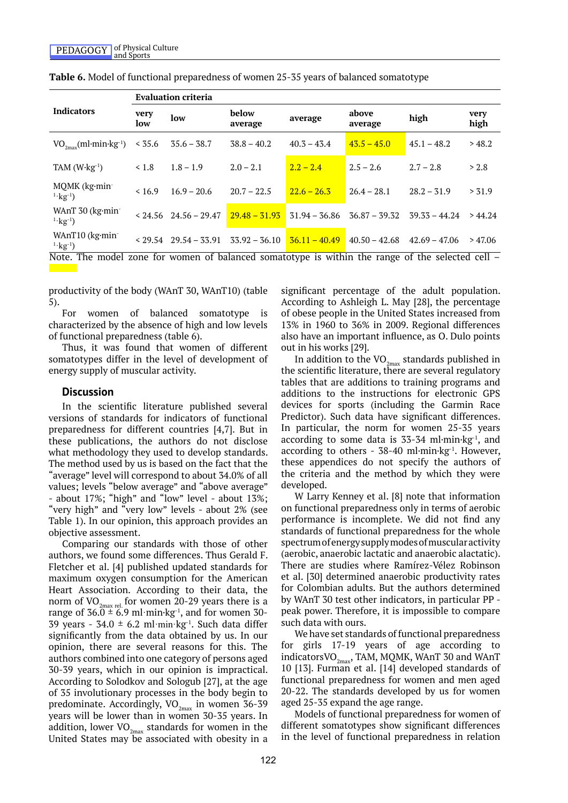|                                                                                                    | <b>Evaluation criteria</b> |                               |                                                 |                 |                 |                 |              |  |  |  |
|----------------------------------------------------------------------------------------------------|----------------------------|-------------------------------|-------------------------------------------------|-----------------|-----------------|-----------------|--------------|--|--|--|
| <b>Indicators</b>                                                                                  | very<br>low                | low                           | below<br>above<br>average<br>average<br>average |                 |                 | high            | very<br>high |  |  |  |
| $VO_{2m}$ (ml·min·kg <sup>-1</sup> )                                                               | < 35.6                     | $35.6 - 38.7$                 | $38.8 - 40.2$                                   | $40.3 - 43.4$   | $43.5 - 45.0$   | $45.1 - 48.2$   | >48.2        |  |  |  |
| TAM $(W \cdot kg^{-1})$                                                                            | $\leq 1.8$                 | $1.8 - 1.9$                   | $2.0 - 2.1$                                     | $2.2 - 2.4$     | $2.5 - 2.6$     | $2.7 - 2.8$     | > 2.8        |  |  |  |
| MQMK (kg·min-<br>$^{1.1}$ kg <sup>-1</sup> )                                                       | < 16.9                     | $16.9 - 20.6$                 | $20.7 - 22.5$                                   | $22.6 - 26.3$   | $26.4 - 28.1$   | $28.2 - 31.9$   | > 31.9       |  |  |  |
| WAnT 30 (kg·min-<br>$1 \cdot \text{kg}^{-1}$                                                       |                            | $< 24.56$ 24.56 - 29.47       | $29.48 - 31.93$                                 | $31.94 - 36.86$ | $36.87 - 39.32$ | $39.33 - 44.24$ | >44.24       |  |  |  |
| WAnT <sub>10</sub> ( $kg$ -min-<br>$1 \cdot \text{kg}^{-1}$ )                                      |                            | $<$ 29.54 $<$ 29.54 $-$ 33.91 | $33.92 - 36.10$                                 | $36.11 - 40.49$ | $40.50 - 42.68$ | $42.69 - 47.06$ | >47.06       |  |  |  |
| Note. The model zone for women of balanced somatotype is within the range of the selected cell $-$ |                            |                               |                                                 |                 |                 |                 |              |  |  |  |

**Table 6.** Model of functional preparedness of women 25-35 years of balanced somatotype

productivity of the body (WAnT 30, WAnT10) (table 5).

For women of balanced somatotype is characterized by the absence of high and low levels of functional preparedness (table 6).

Thus, it was found that women of different somatotypes differ in the level of development of energy supply of muscular activity.

## **Discussion**

In the scientific literature published several versions of standards for indicators of functional preparedness for different countries [4,7]. But in these publications, the authors do not disclose what methodology they used to develop standards. The method used by us is based on the fact that the "average" level will correspond to about 34.0% of all values; levels "below average" and "above average" - about 17%; "high" and "low" level - about 13%; "very high" and "very low" levels - about 2% (see Table 1). In our opinion, this approach provides an objective assessment.

Comparing our standards with those of other authors, we found some differences. Thus Gerald F. Fletcher et al. [4] published updated standards for maximum oxygen consumption for the American Heart Association. According to their data, the norm of  $VO_{2max$  rel. for women 20-29 years there is a range of  $36.0 \pm 6.9$  ml·min·kg<sup>-1</sup>, and for women 30-39 years - 34.0  $\pm$  6.2 ml·min·kg<sup>-1</sup>. Such data differ significantly from the data obtained by us. In our opinion, there are several reasons for this. The authors combined into one category of persons aged 30-39 years, which in our opinion is impractical. According to Solodkov and Sologub [27], at the age of 35 involutionary processes in the body begin to predominate. Accordingly,  $VO_{2mav}$  in women 36-39 years will be lower than in women 30-35 years. In addition, lower  $\rm VO_{2max}$  standards for women in the United States may be associated with obesity in a

significant percentage of the adult population. According to Ashleigh L. May [28], the percentage of obese people in the United States increased from 13% in 1960 to 36% in 2009. Regional differences also have an important influence, as O. Dulo points out in his works [29].

In addition to the  $\rm VO_{2max}$  standards published in the scientific literature, there are several regulatory tables that are additions to training programs and additions to the instructions for electronic GPS devices for sports (including the Garmin Race Predictor). Such data have significant differences. In particular, the norm for women 25-35 years according to some data is  $35-34$  ml $\cdot$ min $\cdot$ kg<sup>-1</sup>, and according to others -  $38-40$  ml $\cdot$ min $\cdot$ kg<sup>-1</sup>. However, these appendices do not specify the authors of the criteria and the method by which they were developed.

W Larry Kenney et al. [8] note that information on functional preparedness only in terms of aerobic performance is incomplete. We did not find any standards of functional preparedness for the whole spectrum of energy supply modes of muscular activity (aerobic, anaerobic lactatic and anaerobic alactatic). There are studies where Ramírez-Vélez Robinson et al. [30] determined anaerobic productivity rates for Colombian adults. But the authors determined by WAnT 30 test other indicators, in particular PP peak power. Therefore, it is impossible to compare such data with ours.

We have set standards of functional preparedness for girls 17-19 years of age according to indicators VO<sub>2max</sub>, TAM, MQMK, WAnT 30 and WAnT 10 [13]. Furman et al. [14] developed standards of functional preparedness for women and men aged 20-22. The standards developed by us for women aged 25-35 expand the age range.

Models of functional preparedness for women of different somatotypes show significant differences in the level of functional preparedness in relation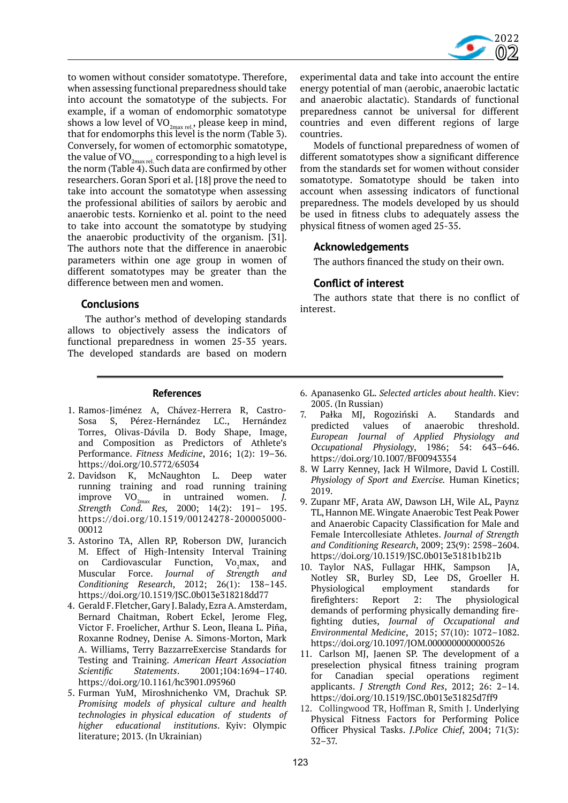

to women without consider somatotype. Therefore, when assessing functional preparedness should take into account the somatotype of the subjects. For example, if a woman of endomorphic somatotype shows a low level of  $VO_{2max rel}$ , please keep in mind, that for endomorphs this level is the norm (Table 3). Conversely, for women of ectomorphic somatotype, the value of  $\rm VO_{2max$ rel. corresponding to a high level is the norm (Table 4). Such data are confirmed by other researchers. Goran Spori et al. [18] prove the need to take into account the somatotype when assessing the professional abilities of sailors by aerobic and anaerobic tests. Kornienko et al. point to the need to take into account the somatotype by studying the anaerobic productivity of the organism. [31]. The authors note that the difference in anaerobic parameters within one age group in women of different somatotypes may be greater than the difference between men and women.

## **Conclusions**

 The author's method of developing standards allows to objectively assess the indicators of functional preparedness in women 25-35 years. The developed standards are based on modern

experimental data and take into account the entire energy potential of man (aerobic, anaerobic lactatic and anaerobic alactatic). Standards of functional preparedness cannot be universal for different countries and even different regions of large countries.

Models of functional preparedness of women of different somatotypes show a significant difference from the standards set for women without consider somatotype. Somatotype should be taken into account when assessing indicators of functional preparedness. The models developed by us should be used in fitness clubs to adequately assess the physical fitness of women aged 25-35.

## **Acknowledgements**

The authors financed the study on their own.

# **Conflict of interest**

The authors state that there is no conflict of interest.

## **References**

- 1. Ramos-Jiménez A, Chávez-Herrera R, Castro-Sosa S, Pérez-Hernández LC., Hernández Torres, Olivas-Dávila D. Body Shape, Image, and Composition as Predictors of Athlete's Performance. *Fitness Medicine*, 2016; 1(2): 19–36. https://doi.org/10.5772/65034
- 2. Davidson K, McNaughton L. Deep water running training and road running training  $improve \ VO_{2max}$  in untrained women. *J*. *Strength Cond. Res,* 2000; 14(2): 191– 195. https://doi.org/10.1519/00124278-200005000- 00012
- 3. Astorino TA, Allen RP, Roberson DW, Jurancich M. Effect of High-Intensity Interval Training on Cardiovascular Function, Vo<sub>2</sub>max,<br>Muscular Force. Journal of Strength Vo<sub>o</sub>max, and Force. *Journal of Strength and Conditioning Research*, 2012; 26(1): 138–145. https://doi.org/10.1519/JSC.0b013e318218dd77
- 4. Gerald F. Fletcher, Gary J. Balady, Ezra A. Amsterdam, Bernard Chaitman, Robert Eckel, Jerome Fleg, Victor F. Froelicher, Arthur S. Leon, Ileana L. Piña, Roxanne Rodney, Denise A. Simons-Morton, Mark A. Williams, Terry BazzarreExercise Standards for Testing and Training. *American Heart Association Scientific Statements*. 2001;104:1694–1740. https://doi.org/10.1161/hc3901.095960
- 5. Furman YuM, Miroshnichenko VM, Drachuk SP. *Promising models of physical culture and health technologies in physical education of students of higher educational institutions*. Kyiv: Olympic literature; 2013. (In Ukrainian)
- 6. Apanasenko GL. *Selected articles about health*. Kiev: 2005. (In Russian)
- 7. Pałka MJ, Rogoziński A. Standards and predicted values of anaerobic threshold. *European Journal of Applied Physiology and Occupational Physiology*, 1986; 54: 643–646. https://doi.org/10.1007/BF00943354
- 8. W Larry Kenney, Jack H Wilmore, David L Costill. *Physiology of Sport and Exercise.* Human Kinetics; 2019.
- 9. Zupanr MF, Arata AW, Dawson LH, Wile AL, Paynz TL, Hannon ME. Wingate Anaerobic Test Peak Power and Anaerobic Capacity Classification for Male and Female Intercollesiate Athletes. *Journal of Strength and Conditioning Research*, 2009; 23(9): 2598–2604. https://doi.org/10.1519/JSC.0b013e3181b1b21b
- 10. Taylor NAS, Fullagar HHK, Sampson JA, Notley SR, Burley SD, Lee DS, Groeller H. Physiological employment standards for firefighters: Report 2: The physiological demands of performing physically demanding firefighting duties, *Journal of Occupational and Environmental Medicine*, 2015; 57(10): 1072–1082. https://doi.org/10.1097/JOM.0000000000000526
- 11. Carlson MJ, Jaenen SP. The development of a preselection physical fitness training program for Canadian special operations regiment applicants. *J Strength Cond Res*, 2012; 26: 2–14. https://doi.org/10.1519/JSC.0b013e31825d7ff9
- 12. Collingwood TR, Hoffman R, Smith J. Underlying Physical Fitness Factors for Performing Police Officer Physical Tasks. *J.Police Chief*, 2004; 71(3): 32–37.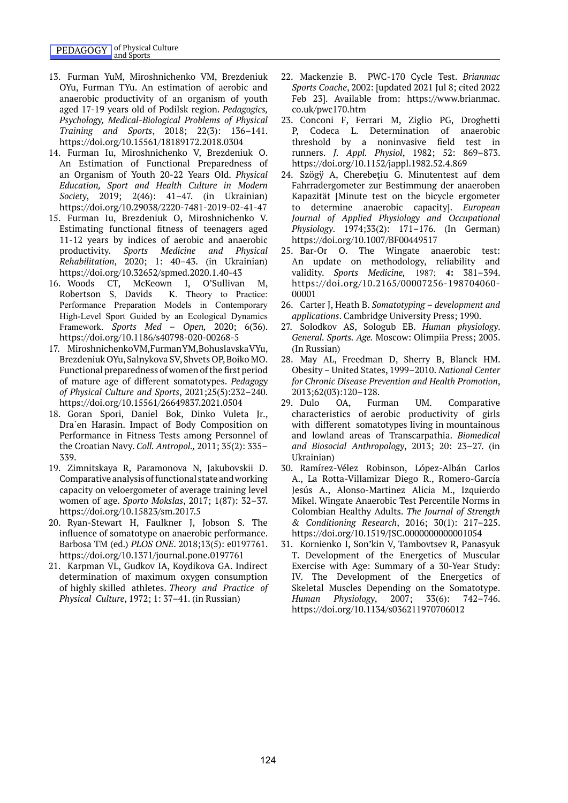- 13. Furman YuM, Miroshnichenko VM, Brezdeniuk OYu, Furman TYu. An estimation of aerobic and anaerobic productivity of an organism of youth aged 17-19 years old of Podilsk region. *Pedagogics, Psychology, Medical-Biological Problems of Physical Training and Sports*, 2018; 22(3): 136–141. https://doi.org/10.15561/18189172.2018.0304
- 14. Furman Iu, Miroshnichenko V, Brezdeniuk O. An Estimation of Functional Preparedness of an Organism of Youth 20-22 Years Old. *Physical Education, Sport and Health Culture in Modern Society*, 2019; 2(46): 41–47. (in Ukrainian) https://doi.org/10.29038/2220-7481-2019-02-41-47
- 15. Furman Iu, Brezdeniuk O, Miroshnichenko V. Estimating functional fitness of teenagers aged 11-12 years by indices of aerobic and anaerobic productivity. *Sports Medicine and Physical Rehabilitation*, 2020; 1: 40–43. (in Ukrainian) https://doi.org/10.32652/spmed.2020.1.40-43
- 16. Woods CT, McKeown I, O'Sullivan M, Robertson S, Davids K. Theory to Practice: Performance Preparation Models in Contemporary High-Level Sport Guided by an Ecological Dynamics Framework. *Sports Med – Open,* 2020; 6(36). https://doi.org/10.1186/s40798-020-00268-5
- 17. Miroshnichenko VM, Furman YM, Bohuslavska VYu, Brezdeniuk OYu, Salnykova SV, Shvets OP, Boiko MO. Functional preparedness of women of the first period of mature age of different somatotypes. *Pedagogy of Physical Culture and Sports*, 2021;25(5):232–240. https://doi.org/10.15561/26649837.2021.0504
- 18. Goran Spori, Daniel Bok, Dinko Vuleta Jr., Dra`en Harasin. Impact of Body Composition on Performance in Fitness Tests among Personnel of the Croatian Navy. *Coll. Antropol.,* 2011; 35(2): 335– 339.
- 19. Zimnitskaya R, Paramonova N, Jakubovskii D. Comparative analysis of functional state and working capacity on veloergometer of average training level women of age. *Sporto Mokslas*, 2017; 1(87): 32–37. https://doi.org/10.15823/sm.2017.5
- 20. Ryan-Stewart H, Faulkner J, Jobson S. The influence of somatotype on anaerobic performance. Barbosa TM (ed.) *PLOS ONE*. 2018;13(5): e0197761. https://doi.org/10.1371/journal.pone.0197761
- 21. Karpman VL, Gudkov IA, Koydikova GA. Indirect determination of maximum oxygen consumption of highly skilled athletes. *Theory and Practice of Physical Culture*, 1972; 1: 37–41. (in Russian)
- 22. Mackenzie B. PWC-170 Cycle Test. *Brianmac Sports Coache*, 2002: [updated 2021 Jul 8; cited 2022 Feb 23]. Available from: https://www.brianmac. co.uk/pwc170.htm
- 23. Conconi F, Ferrari M, Ziglio PG, Droghetti P, Codeca L. Determination of anaerobic threshold by a noninvasive field test in runners. *J. Appl. Physiol*, 1982; 52: 869–873. https://doi.org/10.1152/jappl.1982.52.4.869
- 24. Szögÿ A, Cherebeţiu G. Minutentest auf dem Fahrradergometer zur Bestimmung der anaeroben Kapazität [Minute test on the bicycle ergometer to determine anaerobic capacity]. *European Journal of Applied Physiology and Occupational Physiology*. 1974;33(2): 171–176. (In German) https://doi.org/10.1007/BF00449517
- 25. Bar-Or O. The Wingate anaerobic test: An update on methodology, reliability and validity. *Sports Medicine,* 1987; **4:** 381–394. https://doi.org/10.2165/00007256-198704060- 00001
- 26. Carter J, Heath B. *Somatotyping development and applications*. Cambridge University Press; 1990.
- 27. Solodkov AS, Sologub EB. *Human physiology*. *General. Sports. Age.* Moscow: Olimpiia Press; 2005. (In Russian)
- 28. May AL, Freedman D, Sherry B, Blanck HM. Obesity – United States, 1999–2010. *National Center for Chronic Disease Prevention and Health Promotion*, 2013;62(03):120–128.
- 29. Dulo OA, Furman UM. Comparative characteristics of aerobic productivity of girls with different somatotypes living in mountainous and lowland areas of Transcarpathia. *Biomedical and Biosocial Anthropology*, 2013; 20: 23–27. (in Ukrainian)
- 30. Ramírez-Vélez Robinson, López-Albán Carlos A., La Rotta-Villamizar Diego R., Romero-García Jesús A., Alonso-Martinez Alicia M., Izquierdo Mikel. Wingate Anaerobic Test Percentile Norms in Colombian Healthy Adults. *The Journal of Strength & Conditioning Research*, 2016; 30(1): 217–225. https://doi.org/10.1519/JSC.0000000000001054
- 31. Kornienko I, Son'kin V, Tambovtsev R, Panasyuk T. Development of the Energetics of Muscular Exercise with Age: Summary of a 30-Year Study: IV. The Development of the Energetics of Skeletal Muscles Depending on the Somatotype. *Human Physiology*, 2007; 33(6): 742–746. https://doi.org/10.1134/s036211970706012